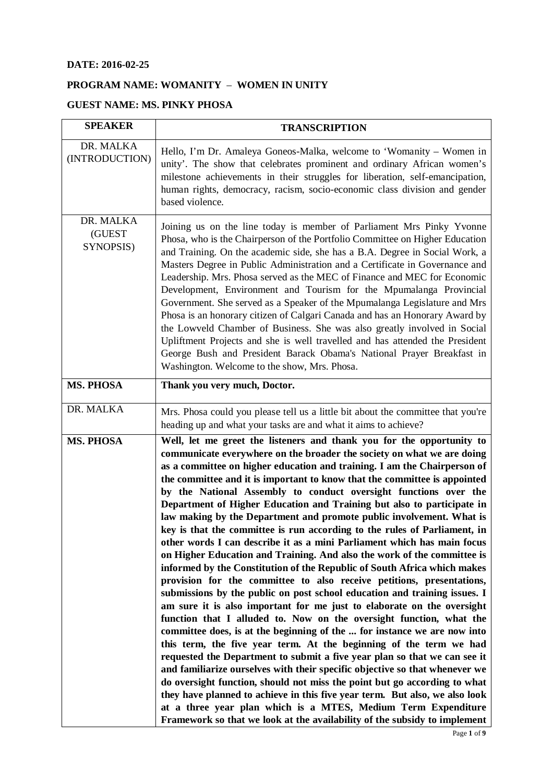## **DATE: 2016-02-25**

## **PROGRAM NAME: WOMANITY** – **WOMEN IN UNITY**

## **GUEST NAME: MS. PINKY PHOSA**

| <b>SPEAKER</b>                   | <b>TRANSCRIPTION</b>                                                                                                                                                                                                                                                                                                                                                                                                                                                                                                                                                                                                                                                                                                                                                                                                                                                                                                                                                                                                                                                                                                                                                                                                                                                                                                                                                                                                                                                                                                                                                                                                                                                                                                                                                         |
|----------------------------------|------------------------------------------------------------------------------------------------------------------------------------------------------------------------------------------------------------------------------------------------------------------------------------------------------------------------------------------------------------------------------------------------------------------------------------------------------------------------------------------------------------------------------------------------------------------------------------------------------------------------------------------------------------------------------------------------------------------------------------------------------------------------------------------------------------------------------------------------------------------------------------------------------------------------------------------------------------------------------------------------------------------------------------------------------------------------------------------------------------------------------------------------------------------------------------------------------------------------------------------------------------------------------------------------------------------------------------------------------------------------------------------------------------------------------------------------------------------------------------------------------------------------------------------------------------------------------------------------------------------------------------------------------------------------------------------------------------------------------------------------------------------------------|
| DR. MALKA<br>(INTRODUCTION)      | Hello, I'm Dr. Amaleya Goneos-Malka, welcome to 'Womanity – Women in<br>unity'. The show that celebrates prominent and ordinary African women's<br>milestone achievements in their struggles for liberation, self-emancipation,<br>human rights, democracy, racism, socio-economic class division and gender<br>based violence.                                                                                                                                                                                                                                                                                                                                                                                                                                                                                                                                                                                                                                                                                                                                                                                                                                                                                                                                                                                                                                                                                                                                                                                                                                                                                                                                                                                                                                              |
| DR. MALKA<br>(GUEST<br>SYNOPSIS) | Joining us on the line today is member of Parliament Mrs Pinky Yvonne<br>Phosa, who is the Chairperson of the Portfolio Committee on Higher Education<br>and Training. On the academic side, she has a B.A. Degree in Social Work, a<br>Masters Degree in Public Administration and a Certificate in Governance and<br>Leadership. Mrs. Phosa served as the MEC of Finance and MEC for Economic<br>Development, Environment and Tourism for the Mpumalanga Provincial<br>Government. She served as a Speaker of the Mpumalanga Legislature and Mrs<br>Phosa is an honorary citizen of Calgari Canada and has an Honorary Award by<br>the Lowveld Chamber of Business. She was also greatly involved in Social<br>Upliftment Projects and she is well travelled and has attended the President<br>George Bush and President Barack Obama's National Prayer Breakfast in<br>Washington. Welcome to the show, Mrs. Phosa.                                                                                                                                                                                                                                                                                                                                                                                                                                                                                                                                                                                                                                                                                                                                                                                                                                                       |
| MS. PHOSA                        | Thank you very much, Doctor.                                                                                                                                                                                                                                                                                                                                                                                                                                                                                                                                                                                                                                                                                                                                                                                                                                                                                                                                                                                                                                                                                                                                                                                                                                                                                                                                                                                                                                                                                                                                                                                                                                                                                                                                                 |
| DR. MALKA                        | Mrs. Phosa could you please tell us a little bit about the committee that you're<br>heading up and what your tasks are and what it aims to achieve?                                                                                                                                                                                                                                                                                                                                                                                                                                                                                                                                                                                                                                                                                                                                                                                                                                                                                                                                                                                                                                                                                                                                                                                                                                                                                                                                                                                                                                                                                                                                                                                                                          |
| <b>MS. PHOSA</b>                 | Well, let me greet the listeners and thank you for the opportunity to<br>communicate everywhere on the broader the society on what we are doing<br>as a committee on higher education and training. I am the Chairperson of<br>the committee and it is important to know that the committee is appointed<br>by the National Assembly to conduct oversight functions over the<br>Department of Higher Education and Training but also to participate in<br>law making by the Department and promote public involvement. What is<br>key is that the committee is run according to the rules of Parliament, in<br>other words I can describe it as a mini Parliament which has main focus<br>on Higher Education and Training. And also the work of the committee is<br>informed by the Constitution of the Republic of South Africa which makes<br>provision for the committee to also receive petitions, presentations,<br>submissions by the public on post school education and training issues. I<br>am sure it is also important for me just to elaborate on the oversight<br>function that I alluded to. Now on the oversight function, what the<br>committee does, is at the beginning of the  for instance we are now into<br>this term, the five year term. At the beginning of the term we had<br>requested the Department to submit a five year plan so that we can see it<br>and familiarize ourselves with their specific objective so that whenever we<br>do oversight function, should not miss the point but go according to what<br>they have planned to achieve in this five year term. But also, we also look<br>at a three year plan which is a MTES, Medium Term Expenditure<br>Framework so that we look at the availability of the subsidy to implement |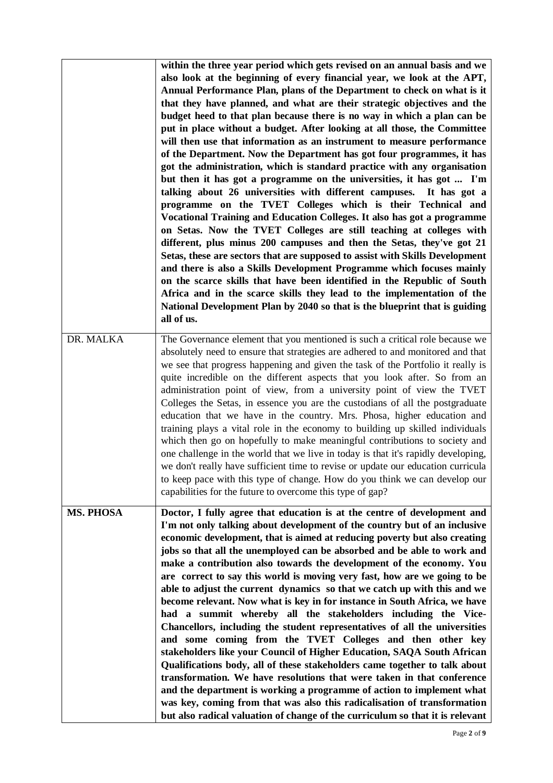|                  | within the three year period which gets revised on an annual basis and we<br>also look at the beginning of every financial year, we look at the APT,<br>Annual Performance Plan, plans of the Department to check on what is it<br>that they have planned, and what are their strategic objectives and the<br>budget heed to that plan because there is no way in which a plan can be<br>put in place without a budget. After looking at all those, the Committee<br>will then use that information as an instrument to measure performance<br>of the Department. Now the Department has got four programmes, it has<br>got the administration, which is standard practice with any organisation<br>but then it has got a programme on the universities, it has got  I'm<br>talking about 26 universities with different campuses. It has got a<br>programme on the TVET Colleges which is their Technical and<br>Vocational Training and Education Colleges. It also has got a programme<br>on Setas. Now the TVET Colleges are still teaching at colleges with<br>different, plus minus 200 campuses and then the Setas, they've got 21<br>Setas, these are sectors that are supposed to assist with Skills Development<br>and there is also a Skills Development Programme which focuses mainly<br>on the scarce skills that have been identified in the Republic of South<br>Africa and in the scarce skills they lead to the implementation of the<br>National Development Plan by 2040 so that is the blueprint that is guiding<br>all of us. |
|------------------|-----------------------------------------------------------------------------------------------------------------------------------------------------------------------------------------------------------------------------------------------------------------------------------------------------------------------------------------------------------------------------------------------------------------------------------------------------------------------------------------------------------------------------------------------------------------------------------------------------------------------------------------------------------------------------------------------------------------------------------------------------------------------------------------------------------------------------------------------------------------------------------------------------------------------------------------------------------------------------------------------------------------------------------------------------------------------------------------------------------------------------------------------------------------------------------------------------------------------------------------------------------------------------------------------------------------------------------------------------------------------------------------------------------------------------------------------------------------------------------------------------------------------------------------------------|
| DR. MALKA        | The Governance element that you mentioned is such a critical role because we<br>absolutely need to ensure that strategies are adhered to and monitored and that<br>we see that progress happening and given the task of the Portfolio it really is<br>quite incredible on the different aspects that you look after. So from an<br>administration point of view, from a university point of view the TVET<br>Colleges the Setas, in essence you are the custodians of all the postgraduate<br>education that we have in the country. Mrs. Phosa, higher education and<br>training plays a vital role in the economy to building up skilled individuals<br>which then go on hopefully to make meaningful contributions to society and<br>one challenge in the world that we live in today is that it's rapidly developing,<br>we don't really have sufficient time to revise or update our education curricula<br>to keep pace with this type of change. How do you think we can develop our<br>capabilities for the future to overcome this type of gap?                                                                                                                                                                                                                                                                                                                                                                                                                                                                                            |
| <b>MS. PHOSA</b> | Doctor, I fully agree that education is at the centre of development and<br>I'm not only talking about development of the country but of an inclusive<br>economic development, that is aimed at reducing poverty but also creating<br>jobs so that all the unemployed can be absorbed and be able to work and<br>make a contribution also towards the development of the economy. You<br>are correct to say this world is moving very fast, how are we going to be<br>able to adjust the current dynamics so that we catch up with this and we<br>become relevant. Now what is key in for instance in South Africa, we have<br>had a summit whereby all the stakeholders including the Vice-<br>Chancellors, including the student representatives of all the universities<br>and some coming from the TVET Colleges and then other key<br>stakeholders like your Council of Higher Education, SAQA South African<br>Qualifications body, all of these stakeholders came together to talk about<br>transformation. We have resolutions that were taken in that conference<br>and the department is working a programme of action to implement what<br>was key, coming from that was also this radicalisation of transformation<br>but also radical valuation of change of the curriculum so that it is relevant                                                                                                                                                                                                                                     |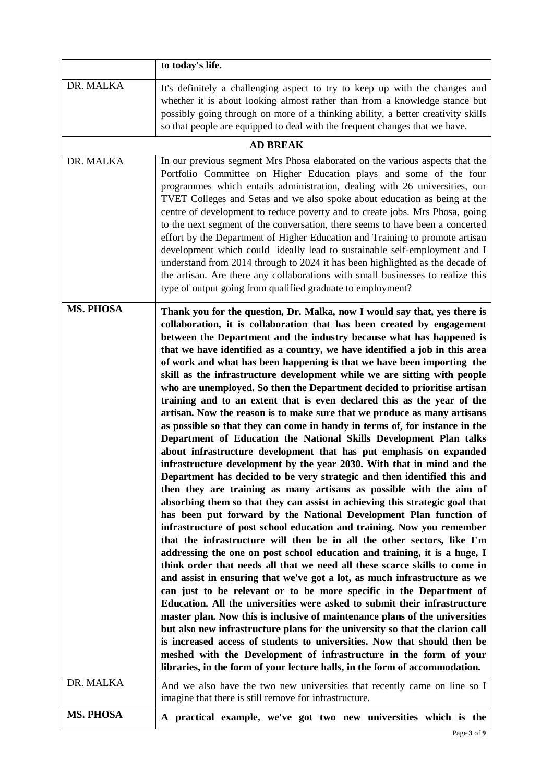|                  | to today's life.                                                                                                                                                                                                                                                                                                                                                                                                                                                                                                                                                                                                                                                                                                                                                                                                                                                                                                                                                                                                                                                                                                                                                                                                                                                                                                                                                                                                                                                                                                                                                                                                                                                                                                                                                                                                                                                                                                                                                                                                                                                                                                                                                                                                                                                  |
|------------------|-------------------------------------------------------------------------------------------------------------------------------------------------------------------------------------------------------------------------------------------------------------------------------------------------------------------------------------------------------------------------------------------------------------------------------------------------------------------------------------------------------------------------------------------------------------------------------------------------------------------------------------------------------------------------------------------------------------------------------------------------------------------------------------------------------------------------------------------------------------------------------------------------------------------------------------------------------------------------------------------------------------------------------------------------------------------------------------------------------------------------------------------------------------------------------------------------------------------------------------------------------------------------------------------------------------------------------------------------------------------------------------------------------------------------------------------------------------------------------------------------------------------------------------------------------------------------------------------------------------------------------------------------------------------------------------------------------------------------------------------------------------------------------------------------------------------------------------------------------------------------------------------------------------------------------------------------------------------------------------------------------------------------------------------------------------------------------------------------------------------------------------------------------------------------------------------------------------------------------------------------------------------|
| DR. MALKA        | It's definitely a challenging aspect to try to keep up with the changes and<br>whether it is about looking almost rather than from a knowledge stance but<br>possibly going through on more of a thinking ability, a better creativity skills<br>so that people are equipped to deal with the frequent changes that we have.                                                                                                                                                                                                                                                                                                                                                                                                                                                                                                                                                                                                                                                                                                                                                                                                                                                                                                                                                                                                                                                                                                                                                                                                                                                                                                                                                                                                                                                                                                                                                                                                                                                                                                                                                                                                                                                                                                                                      |
|                  | <b>AD BREAK</b>                                                                                                                                                                                                                                                                                                                                                                                                                                                                                                                                                                                                                                                                                                                                                                                                                                                                                                                                                                                                                                                                                                                                                                                                                                                                                                                                                                                                                                                                                                                                                                                                                                                                                                                                                                                                                                                                                                                                                                                                                                                                                                                                                                                                                                                   |
| DR. MALKA        | In our previous segment Mrs Phosa elaborated on the various aspects that the<br>Portfolio Committee on Higher Education plays and some of the four<br>programmes which entails administration, dealing with 26 universities, our<br>TVET Colleges and Setas and we also spoke about education as being at the<br>centre of development to reduce poverty and to create jobs. Mrs Phosa, going<br>to the next segment of the conversation, there seems to have been a concerted<br>effort by the Department of Higher Education and Training to promote artisan<br>development which could ideally lead to sustainable self-employment and I<br>understand from 2014 through to 2024 it has been highlighted as the decade of<br>the artisan. Are there any collaborations with small businesses to realize this<br>type of output going from qualified graduate to employment?                                                                                                                                                                                                                                                                                                                                                                                                                                                                                                                                                                                                                                                                                                                                                                                                                                                                                                                                                                                                                                                                                                                                                                                                                                                                                                                                                                                    |
| <b>MS. PHOSA</b> | Thank you for the question, Dr. Malka, now I would say that, yes there is<br>collaboration, it is collaboration that has been created by engagement<br>between the Department and the industry because what has happened is<br>that we have identified as a country, we have identified a job in this area<br>of work and what has been happening is that we have been importing the<br>skill as the infrastructure development while we are sitting with people<br>who are unemployed. So then the Department decided to prioritise artisan<br>training and to an extent that is even declared this as the year of the<br>artisan. Now the reason is to make sure that we produce as many artisans<br>as possible so that they can come in handy in terms of, for instance in the<br>Department of Education the National Skills Development Plan talks<br>about infrastructure development that has put emphasis on expanded<br>infrastructure development by the year 2030. With that in mind and the<br>Department has decided to be very strategic and then identified this and<br>then they are training as many artisans as possible with the aim of<br>absorbing them so that they can assist in achieving this strategic goal that<br>has been put forward by the National Development Plan function of<br>infrastructure of post school education and training. Now you remember<br>that the infrastructure will then be in all the other sectors, like I'm<br>addressing the one on post school education and training, it is a huge, I<br>think order that needs all that we need all these scarce skills to come in<br>and assist in ensuring that we've got a lot, as much infrastructure as we<br>can just to be relevant or to be more specific in the Department of<br>Education. All the universities were asked to submit their infrastructure<br>master plan. Now this is inclusive of maintenance plans of the universities<br>but also new infrastructure plans for the university so that the clarion call<br>is increased access of students to universities. Now that should then be<br>meshed with the Development of infrastructure in the form of your<br>libraries, in the form of your lecture halls, in the form of accommodation. |
| DR. MALKA        | And we also have the two new universities that recently came on line so I<br>imagine that there is still remove for infrastructure.                                                                                                                                                                                                                                                                                                                                                                                                                                                                                                                                                                                                                                                                                                                                                                                                                                                                                                                                                                                                                                                                                                                                                                                                                                                                                                                                                                                                                                                                                                                                                                                                                                                                                                                                                                                                                                                                                                                                                                                                                                                                                                                               |
| MS. PHOSA        | A practical example, we've got two new universities which is the                                                                                                                                                                                                                                                                                                                                                                                                                                                                                                                                                                                                                                                                                                                                                                                                                                                                                                                                                                                                                                                                                                                                                                                                                                                                                                                                                                                                                                                                                                                                                                                                                                                                                                                                                                                                                                                                                                                                                                                                                                                                                                                                                                                                  |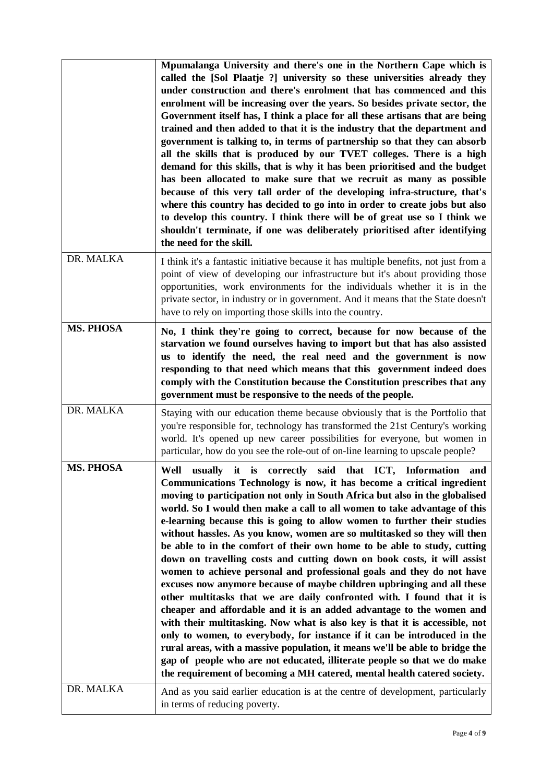|                  | Mpumalanga University and there's one in the Northern Cape which is<br>called the [Sol Plaatje ?] university so these universities already they<br>under construction and there's enrolment that has commenced and this<br>enrolment will be increasing over the years. So besides private sector, the<br>Government itself has, I think a place for all these artisans that are being<br>trained and then added to that it is the industry that the department and<br>government is talking to, in terms of partnership so that they can absorb<br>all the skills that is produced by our TVET colleges. There is a high<br>demand for this skills, that is why it has been prioritised and the budget<br>has been allocated to make sure that we recruit as many as possible<br>because of this very tall order of the developing infra-structure, that's<br>where this country has decided to go into in order to create jobs but also<br>to develop this country. I think there will be of great use so I think we<br>shouldn't terminate, if one was deliberately prioritised after identifying<br>the need for the skill.                                                                                                                                                                                            |
|------------------|----------------------------------------------------------------------------------------------------------------------------------------------------------------------------------------------------------------------------------------------------------------------------------------------------------------------------------------------------------------------------------------------------------------------------------------------------------------------------------------------------------------------------------------------------------------------------------------------------------------------------------------------------------------------------------------------------------------------------------------------------------------------------------------------------------------------------------------------------------------------------------------------------------------------------------------------------------------------------------------------------------------------------------------------------------------------------------------------------------------------------------------------------------------------------------------------------------------------------------------------------------------------------------------------------------------------------|
| DR. MALKA        | I think it's a fantastic initiative because it has multiple benefits, not just from a<br>point of view of developing our infrastructure but it's about providing those<br>opportunities, work environments for the individuals whether it is in the<br>private sector, in industry or in government. And it means that the State doesn't<br>have to rely on importing those skills into the country.                                                                                                                                                                                                                                                                                                                                                                                                                                                                                                                                                                                                                                                                                                                                                                                                                                                                                                                       |
| <b>MS. PHOSA</b> | No, I think they're going to correct, because for now because of the<br>starvation we found ourselves having to import but that has also assisted<br>us to identify the need, the real need and the government is now<br>responding to that need which means that this government indeed does<br>comply with the Constitution because the Constitution prescribes that any<br>government must be responsive to the needs of the people.                                                                                                                                                                                                                                                                                                                                                                                                                                                                                                                                                                                                                                                                                                                                                                                                                                                                                    |
| DR. MALKA        | Staying with our education theme because obviously that is the Portfolio that<br>you're responsible for, technology has transformed the 21st Century's working<br>world. It's opened up new career possibilities for everyone, but women in<br>particular, how do you see the role-out of on-line learning to upscale people?                                                                                                                                                                                                                                                                                                                                                                                                                                                                                                                                                                                                                                                                                                                                                                                                                                                                                                                                                                                              |
| <b>MS. PHOSA</b> | Well<br>usually it is correctly said that ICT, Information and<br>Communications Technology is now, it has become a critical ingredient<br>moving to participation not only in South Africa but also in the globalised<br>world. So I would then make a call to all women to take advantage of this<br>e-learning because this is going to allow women to further their studies<br>without hassles. As you know, women are so multitasked so they will then<br>be able to in the comfort of their own home to be able to study, cutting<br>down on travelling costs and cutting down on book costs, it will assist<br>women to achieve personal and professional goals and they do not have<br>excuses now anymore because of maybe children upbringing and all these<br>other multitasks that we are daily confronted with. I found that it is<br>cheaper and affordable and it is an added advantage to the women and<br>with their multitasking. Now what is also key is that it is accessible, not<br>only to women, to everybody, for instance if it can be introduced in the<br>rural areas, with a massive population, it means we'll be able to bridge the<br>gap of people who are not educated, illiterate people so that we do make<br>the requirement of becoming a MH catered, mental health catered society. |
| DR. MALKA        | And as you said earlier education is at the centre of development, particularly<br>in terms of reducing poverty.                                                                                                                                                                                                                                                                                                                                                                                                                                                                                                                                                                                                                                                                                                                                                                                                                                                                                                                                                                                                                                                                                                                                                                                                           |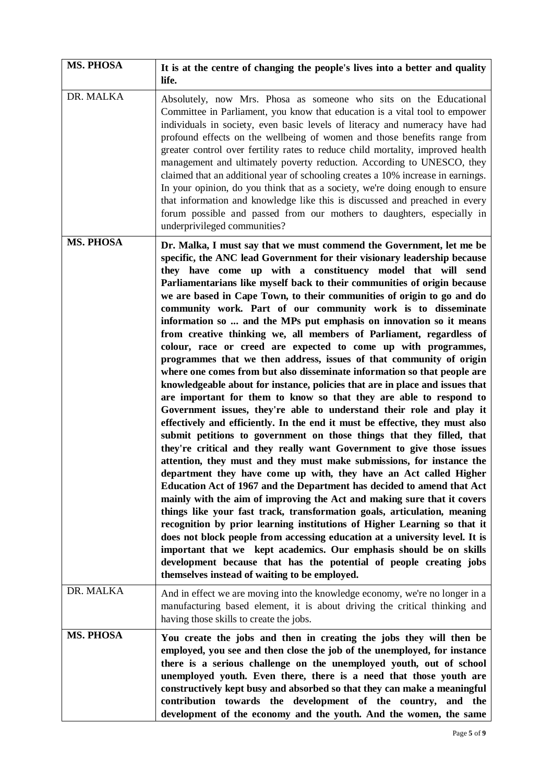| <b>MS. PHOSA</b> | It is at the centre of changing the people's lives into a better and quality<br>life.                                                                                                                                                                                                                                                                                                                                                                                                                                                                                                                                                                                                                                                                                                                                                                                                                                                                                                                                                                                                                                                                                                                                                                                                                                                                                                                                                                                                                                                                                                                                                                                                                                                                                                                                                                                                                                                                                                                         |
|------------------|---------------------------------------------------------------------------------------------------------------------------------------------------------------------------------------------------------------------------------------------------------------------------------------------------------------------------------------------------------------------------------------------------------------------------------------------------------------------------------------------------------------------------------------------------------------------------------------------------------------------------------------------------------------------------------------------------------------------------------------------------------------------------------------------------------------------------------------------------------------------------------------------------------------------------------------------------------------------------------------------------------------------------------------------------------------------------------------------------------------------------------------------------------------------------------------------------------------------------------------------------------------------------------------------------------------------------------------------------------------------------------------------------------------------------------------------------------------------------------------------------------------------------------------------------------------------------------------------------------------------------------------------------------------------------------------------------------------------------------------------------------------------------------------------------------------------------------------------------------------------------------------------------------------------------------------------------------------------------------------------------------------|
| DR. MALKA        | Absolutely, now Mrs. Phosa as someone who sits on the Educational<br>Committee in Parliament, you know that education is a vital tool to empower<br>individuals in society, even basic levels of literacy and numeracy have had<br>profound effects on the wellbeing of women and those benefits range from<br>greater control over fertility rates to reduce child mortality, improved health<br>management and ultimately poverty reduction. According to UNESCO, they<br>claimed that an additional year of schooling creates a 10% increase in earnings.<br>In your opinion, do you think that as a society, we're doing enough to ensure<br>that information and knowledge like this is discussed and preached in every<br>forum possible and passed from our mothers to daughters, especially in<br>underprivileged communities?                                                                                                                                                                                                                                                                                                                                                                                                                                                                                                                                                                                                                                                                                                                                                                                                                                                                                                                                                                                                                                                                                                                                                                        |
| <b>MS. PHOSA</b> | Dr. Malka, I must say that we must commend the Government, let me be<br>specific, the ANC lead Government for their visionary leadership because<br>they have come up with a constituency model that will send<br>Parliamentarians like myself back to their communities of origin because<br>we are based in Cape Town, to their communities of origin to go and do<br>community work. Part of our community work is to disseminate<br>information so  and the MPs put emphasis on innovation so it means<br>from creative thinking we, all members of Parliament, regardless of<br>colour, race or creed are expected to come up with programmes,<br>programmes that we then address, issues of that community of origin<br>where one comes from but also disseminate information so that people are<br>knowledgeable about for instance, policies that are in place and issues that<br>are important for them to know so that they are able to respond to<br>Government issues, they're able to understand their role and play it<br>effectively and efficiently. In the end it must be effective, they must also<br>submit petitions to government on those things that they filled, that<br>they're critical and they really want Government to give those issues<br>attention, they must and they must make submissions, for instance the<br>department they have come up with, they have an Act called Higher<br>Education Act of 1967 and the Department has decided to amend that Act<br>mainly with the aim of improving the Act and making sure that it covers<br>things like your fast track, transformation goals, articulation, meaning<br>recognition by prior learning institutions of Higher Learning so that it<br>does not block people from accessing education at a university level. It is<br>important that we kept academics. Our emphasis should be on skills<br>development because that has the potential of people creating jobs<br>themselves instead of waiting to be employed. |
| DR. MALKA        | And in effect we are moving into the knowledge economy, we're no longer in a<br>manufacturing based element, it is about driving the critical thinking and<br>having those skills to create the jobs.                                                                                                                                                                                                                                                                                                                                                                                                                                                                                                                                                                                                                                                                                                                                                                                                                                                                                                                                                                                                                                                                                                                                                                                                                                                                                                                                                                                                                                                                                                                                                                                                                                                                                                                                                                                                         |
| <b>MS. PHOSA</b> | You create the jobs and then in creating the jobs they will then be<br>employed, you see and then close the job of the unemployed, for instance<br>there is a serious challenge on the unemployed youth, out of school<br>unemployed youth. Even there, there is a need that those youth are<br>constructively kept busy and absorbed so that they can make a meaningful<br>contribution towards the development of the country,<br>and the<br>development of the economy and the youth. And the women, the same                                                                                                                                                                                                                                                                                                                                                                                                                                                                                                                                                                                                                                                                                                                                                                                                                                                                                                                                                                                                                                                                                                                                                                                                                                                                                                                                                                                                                                                                                              |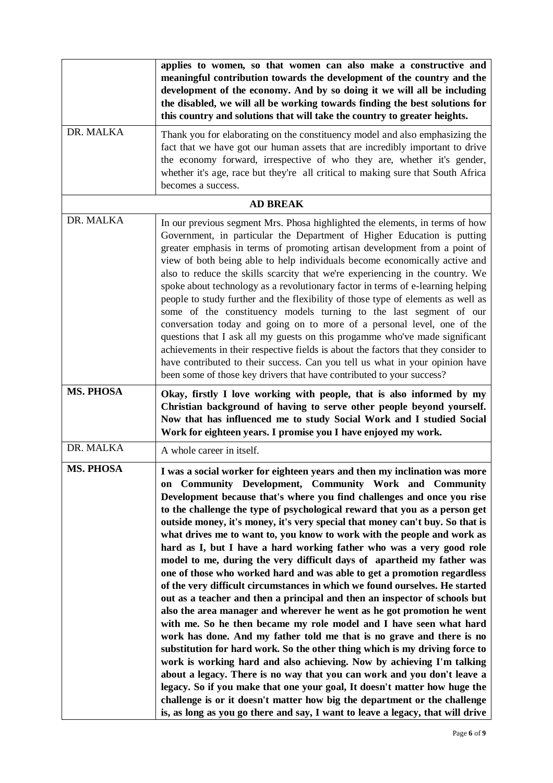|                  | applies to women, so that women can also make a constructive and<br>meaningful contribution towards the development of the country and the<br>development of the economy. And by so doing it we will all be including<br>the disabled, we will all be working towards finding the best solutions for<br>this country and solutions that will take the country to greater heights.                                                                                                                                                                                                                                                                                                                                                                                                                                                                                                                                                                                                                                                                                                                                                                                                                                                                                                                                                                                                                                                                                                                                                                         |
|------------------|-----------------------------------------------------------------------------------------------------------------------------------------------------------------------------------------------------------------------------------------------------------------------------------------------------------------------------------------------------------------------------------------------------------------------------------------------------------------------------------------------------------------------------------------------------------------------------------------------------------------------------------------------------------------------------------------------------------------------------------------------------------------------------------------------------------------------------------------------------------------------------------------------------------------------------------------------------------------------------------------------------------------------------------------------------------------------------------------------------------------------------------------------------------------------------------------------------------------------------------------------------------------------------------------------------------------------------------------------------------------------------------------------------------------------------------------------------------------------------------------------------------------------------------------------------------|
| DR. MALKA        | Thank you for elaborating on the constituency model and also emphasizing the<br>fact that we have got our human assets that are incredibly important to drive<br>the economy forward, irrespective of who they are, whether it's gender,<br>whether it's age, race but they're all critical to making sure that South Africa<br>becomes a success.                                                                                                                                                                                                                                                                                                                                                                                                                                                                                                                                                                                                                                                                                                                                                                                                                                                                                                                                                                                                                                                                                                                                                                                                        |
|                  | <b>AD BREAK</b>                                                                                                                                                                                                                                                                                                                                                                                                                                                                                                                                                                                                                                                                                                                                                                                                                                                                                                                                                                                                                                                                                                                                                                                                                                                                                                                                                                                                                                                                                                                                           |
| DR. MALKA        | In our previous segment Mrs. Phosa highlighted the elements, in terms of how<br>Government, in particular the Department of Higher Education is putting<br>greater emphasis in terms of promoting artisan development from a point of<br>view of both being able to help individuals become economically active and<br>also to reduce the skills scarcity that we're experiencing in the country. We<br>spoke about technology as a revolutionary factor in terms of e-learning helping<br>people to study further and the flexibility of those type of elements as well as<br>some of the constituency models turning to the last segment of our<br>conversation today and going on to more of a personal level, one of the<br>questions that I ask all my guests on this progamme who've made significant<br>achievements in their respective fields is about the factors that they consider to<br>have contributed to their success. Can you tell us what in your opinion have<br>been some of those key drivers that have contributed to your success?                                                                                                                                                                                                                                                                                                                                                                                                                                                                                                |
| <b>MS. PHOSA</b> | Okay, firstly I love working with people, that is also informed by my<br>Christian background of having to serve other people beyond yourself.<br>Now that has influenced me to study Social Work and I studied Social<br>Work for eighteen years. I promise you I have enjoyed my work.                                                                                                                                                                                                                                                                                                                                                                                                                                                                                                                                                                                                                                                                                                                                                                                                                                                                                                                                                                                                                                                                                                                                                                                                                                                                  |
| DR. MALKA        | A whole career in itself.                                                                                                                                                                                                                                                                                                                                                                                                                                                                                                                                                                                                                                                                                                                                                                                                                                                                                                                                                                                                                                                                                                                                                                                                                                                                                                                                                                                                                                                                                                                                 |
| <b>MS. PHOSA</b> | I was a social worker for eighteen years and then my inclination was more<br>on Community Development, Community Work and Community<br>Development because that's where you find challenges and once you rise<br>to the challenge the type of psychological reward that you as a person get<br>outside money, it's money, it's very special that money can't buy. So that is<br>what drives me to want to, you know to work with the people and work as<br>hard as I, but I have a hard working father who was a very good role<br>model to me, during the very difficult days of apartheid my father was<br>one of those who worked hard and was able to get a promotion regardless<br>of the very difficult circumstances in which we found ourselves. He started<br>out as a teacher and then a principal and then an inspector of schools but<br>also the area manager and wherever he went as he got promotion he went<br>with me. So he then became my role model and I have seen what hard<br>work has done. And my father told me that is no grave and there is no<br>substitution for hard work. So the other thing which is my driving force to<br>work is working hard and also achieving. Now by achieving I'm talking<br>about a legacy. There is no way that you can work and you don't leave a<br>legacy. So if you make that one your goal, It doesn't matter how huge the<br>challenge is or it doesn't matter how big the department or the challenge<br>is, as long as you go there and say, I want to leave a legacy, that will drive |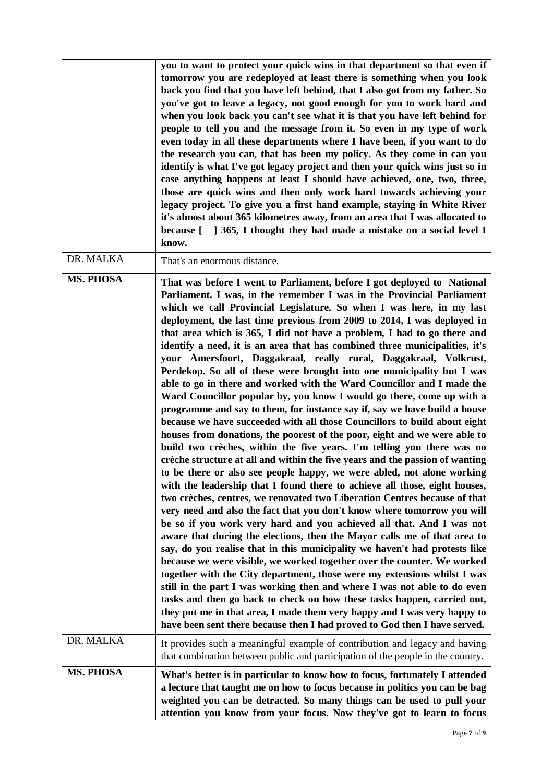|                  | you to want to protect your quick wins in that department so that even if<br>tomorrow you are redeployed at least there is something when you look<br>back you find that you have left behind, that I also got from my father. So<br>you've got to leave a legacy, not good enough for you to work hard and<br>when you look back you can't see what it is that you have left behind for<br>people to tell you and the message from it. So even in my type of work<br>even today in all these departments where I have been, if you want to do<br>the research you can, that has been my policy. As they come in can you<br>identify is what I've got legacy project and then your quick wins just so in<br>case anything happens at least I should have achieved, one, two, three,<br>those are quick wins and then only work hard towards achieving your<br>legacy project. To give you a first hand example, staying in White River<br>it's almost about 365 kilometres away, from an area that I was allocated to<br>because [ ] 365, I thought they had made a mistake on a social level I<br>know.                                                                                                                                                                                                                                                                                                                                                                                                                                                                                                                                                                                                                                                                                                                                                                                                                                                                                                                                                                                                                                                                                 |
|------------------|------------------------------------------------------------------------------------------------------------------------------------------------------------------------------------------------------------------------------------------------------------------------------------------------------------------------------------------------------------------------------------------------------------------------------------------------------------------------------------------------------------------------------------------------------------------------------------------------------------------------------------------------------------------------------------------------------------------------------------------------------------------------------------------------------------------------------------------------------------------------------------------------------------------------------------------------------------------------------------------------------------------------------------------------------------------------------------------------------------------------------------------------------------------------------------------------------------------------------------------------------------------------------------------------------------------------------------------------------------------------------------------------------------------------------------------------------------------------------------------------------------------------------------------------------------------------------------------------------------------------------------------------------------------------------------------------------------------------------------------------------------------------------------------------------------------------------------------------------------------------------------------------------------------------------------------------------------------------------------------------------------------------------------------------------------------------------------------------------------------------------------------------------------------------------------------|
| DR. MALKA        | That's an enormous distance.                                                                                                                                                                                                                                                                                                                                                                                                                                                                                                                                                                                                                                                                                                                                                                                                                                                                                                                                                                                                                                                                                                                                                                                                                                                                                                                                                                                                                                                                                                                                                                                                                                                                                                                                                                                                                                                                                                                                                                                                                                                                                                                                                             |
| <b>MS. PHOSA</b> | That was before I went to Parliament, before I got deployed to National<br>Parliament. I was, in the remember I was in the Provincial Parliament<br>which we call Provincial Legislature. So when I was here, in my last<br>deployment, the last time previous from 2009 to 2014, I was deployed in<br>that area which is 365, I did not have a problem, I had to go there and<br>identify a need, it is an area that has combined three municipalities, it's<br>your Amersfoort, Daggakraal, really rural, Daggakraal, Volkrust,<br>Perdekop. So all of these were brought into one municipality but I was<br>able to go in there and worked with the Ward Councillor and I made the<br>Ward Councillor popular by, you know I would go there, come up with a<br>programme and say to them, for instance say if, say we have build a house<br>because we have succeeded with all those Councillors to build about eight<br>houses from donations, the poorest of the poor, eight and we were able to<br>build two crèches, within the five years. I'm telling you there was no<br>crèche structure at all and within the five years and the passion of wanting<br>to be there or also see people happy, we were abled, not alone working<br>with the leadership that I found there to achieve all those, eight houses,<br>two crèches, centres, we renovated two Liberation Centres because of that<br>very need and also the fact that you don't know where tomorrow you will<br>be so if you work very hard and you achieved all that. And I was not<br>aware that during the elections, then the Mayor calls me of that area to<br>say, do you realise that in this municipality we haven't had protests like<br>because we were visible, we worked together over the counter. We worked<br>together with the City department, those were my extensions whilst I was<br>still in the part I was working then and where I was not able to do even<br>tasks and then go back to check on how these tasks happen, carried out,<br>they put me in that area, I made them very happy and I was very happy to<br>have been sent there because then I had proved to God then I have served. |
| DR. MALKA        | It provides such a meaningful example of contribution and legacy and having<br>that combination between public and participation of the people in the country.                                                                                                                                                                                                                                                                                                                                                                                                                                                                                                                                                                                                                                                                                                                                                                                                                                                                                                                                                                                                                                                                                                                                                                                                                                                                                                                                                                                                                                                                                                                                                                                                                                                                                                                                                                                                                                                                                                                                                                                                                           |
| <b>MS. PHOSA</b> | What's better is in particular to know how to focus, fortunately I attended<br>a lecture that taught me on how to focus because in politics you can be bag<br>weighted you can be detracted. So many things can be used to pull your<br>attention you know from your focus. Now they've got to learn to focus                                                                                                                                                                                                                                                                                                                                                                                                                                                                                                                                                                                                                                                                                                                                                                                                                                                                                                                                                                                                                                                                                                                                                                                                                                                                                                                                                                                                                                                                                                                                                                                                                                                                                                                                                                                                                                                                            |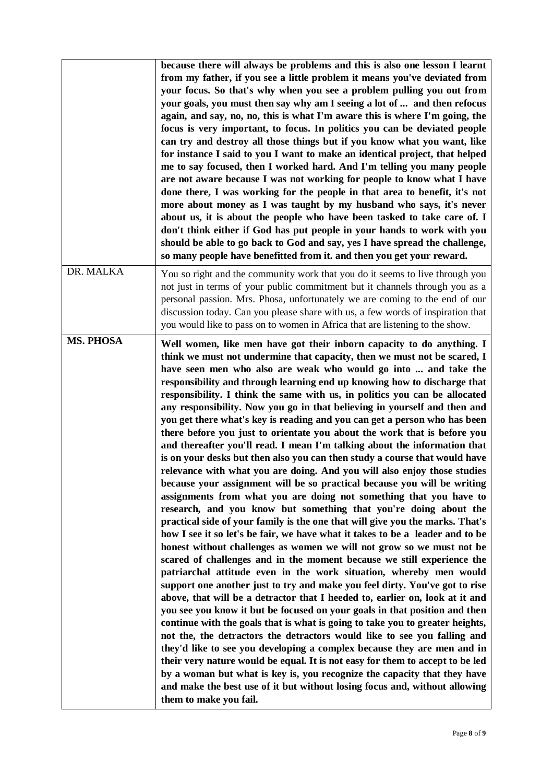|                  | because there will always be problems and this is also one lesson I learnt<br>from my father, if you see a little problem it means you've deviated from<br>your focus. So that's why when you see a problem pulling you out from<br>your goals, you must then say why am I seeing a lot of  and then refocus<br>again, and say, no, no, this is what I'm aware this is where I'm going, the<br>focus is very important, to focus. In politics you can be deviated people<br>can try and destroy all those things but if you know what you want, like<br>for instance I said to you I want to make an identical project, that helped<br>me to say focused, then I worked hard. And I'm telling you many people<br>are not aware because I was not working for people to know what I have<br>done there, I was working for the people in that area to benefit, it's not<br>more about money as I was taught by my husband who says, it's never<br>about us, it is about the people who have been tasked to take care of. I<br>don't think either if God has put people in your hands to work with you<br>should be able to go back to God and say, yes I have spread the challenge,<br>so many people have benefitted from it. and then you get your reward.                                                                                                                                                                                                                                                                                                                                                                                                                                                                                                                                                                                                                                                                                                                                                                                                                                                                                                                                                                             |
|------------------|----------------------------------------------------------------------------------------------------------------------------------------------------------------------------------------------------------------------------------------------------------------------------------------------------------------------------------------------------------------------------------------------------------------------------------------------------------------------------------------------------------------------------------------------------------------------------------------------------------------------------------------------------------------------------------------------------------------------------------------------------------------------------------------------------------------------------------------------------------------------------------------------------------------------------------------------------------------------------------------------------------------------------------------------------------------------------------------------------------------------------------------------------------------------------------------------------------------------------------------------------------------------------------------------------------------------------------------------------------------------------------------------------------------------------------------------------------------------------------------------------------------------------------------------------------------------------------------------------------------------------------------------------------------------------------------------------------------------------------------------------------------------------------------------------------------------------------------------------------------------------------------------------------------------------------------------------------------------------------------------------------------------------------------------------------------------------------------------------------------------------------------------------------------------------------------------------------------------------------------|
| DR. MALKA        | You so right and the community work that you do it seems to live through you<br>not just in terms of your public commitment but it channels through you as a<br>personal passion. Mrs. Phosa, unfortunately we are coming to the end of our<br>discussion today. Can you please share with us, a few words of inspiration that<br>you would like to pass on to women in Africa that are listening to the show.                                                                                                                                                                                                                                                                                                                                                                                                                                                                                                                                                                                                                                                                                                                                                                                                                                                                                                                                                                                                                                                                                                                                                                                                                                                                                                                                                                                                                                                                                                                                                                                                                                                                                                                                                                                                                         |
| <b>MS. PHOSA</b> | Well women, like men have got their inborn capacity to do anything. I<br>think we must not undermine that capacity, then we must not be scared, I<br>have seen men who also are weak who would go into  and take the<br>responsibility and through learning end up knowing how to discharge that<br>responsibility. I think the same with us, in politics you can be allocated<br>any responsibility. Now you go in that believing in yourself and then and<br>you get there what's key is reading and you can get a person who has been<br>there before you just to orientate you about the work that is before you<br>and thereafter you'll read. I mean I'm talking about the information that<br>is on your desks but then also you can then study a course that would have<br>relevance with what you are doing. And you will also enjoy those studies<br>because your assignment will be so practical because you will be writing<br>assignments from what you are doing not something that you have to<br>research, and you know but something that you're doing about the<br>practical side of your family is the one that will give you the marks. That's<br>how I see it so let's be fair, we have what it takes to be a leader and to be<br>honest without challenges as women we will not grow so we must not be<br>scared of challenges and in the moment because we still experience the<br>patriarchal attitude even in the work situation, whereby men would<br>support one another just to try and make you feel dirty. You've got to rise<br>above, that will be a detractor that I heeded to, earlier on, look at it and<br>you see you know it but be focused on your goals in that position and then<br>continue with the goals that is what is going to take you to greater heights,<br>not the, the detractors the detractors would like to see you falling and<br>they'd like to see you developing a complex because they are men and in<br>their very nature would be equal. It is not easy for them to accept to be led<br>by a woman but what is key is, you recognize the capacity that they have<br>and make the best use of it but without losing focus and, without allowing<br>them to make you fail. |